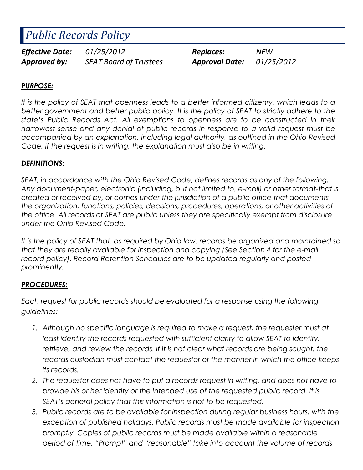# Public Records Policy

Effective Date:  $01/25/2012$  Replaces: NEW Approved by: SEAT Board of Trustees Approval Date: 01/25/2012

#### PURPOSE:

It is the policy of SEAT that openness leads to a better informed citizenry, which leads to a better government and better public policy. It is the policy of SEAT to strictly adhere to the state's Public Records Act. All exemptions to openness are to be constructed in their narrowest sense and any denial of public records in response to a valid request must be accompanied by an explanation, including legal authority, as outlined in the Ohio Revised Code. If the request is in writing, the explanation must also be in writing.

#### DEFINITIONS:

SEAT, in accordance with the Ohio Revised Code, defines records as any of the following: Any document-paper, electronic (including, but not limited to, e-mail) or other format-that is created or received by, or comes under the jurisdiction of a public office that documents the organization, functions, policies, decisions, procedures, operations, or other activities of the office. All records of SEAT are public unless they are specifically exempt from disclosure under the Ohio Revised Code.

It is the policy of SEAT that, as required by Ohio law, records be organized and maintained so that they are readily available for inspection and copying (See Section 4 for the e-mail record policy). Record Retention Schedules are to be updated regularly and posted prominently.

#### PROCEDURES:

Each request for public records should be evaluated for a response using the following guidelines:

- 1. Although no specific language is required to make a request, the requester must at least identify the records requested with sufficient clarity to allow SEAT to identify, retrieve, and review the records. If it is not clear what records are being sought, the records custodian must contact the requestor of the manner in which the office keeps its records.
- 2. The requester does not have to put a records request in writing, and does not have to provide his or her identity or the intended use of the requested public record. It is SEAT's general policy that this information is not to be requested.
- 3. Public records are to be available for inspection during regular business hours, with the exception of published holidays. Public records must be made available for inspection promptly. Copies of public records must be made available within a reasonable period of time. "Prompt" and "reasonable" take into account the volume of records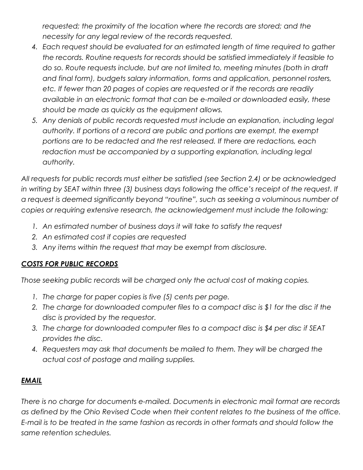requested; the proximity of the location where the records are stored; and the necessity for any legal review of the records requested.

- 4. Each request should be evaluated for an estimated length of time required to gather the records. Routine requests for records should be satisfied immediately if feasible to do so. Route requests include, but are not limited to, meeting minutes (both in draft and final form), budgets salary information, forms and application, personnel rosters, etc. If fewer than 20 pages of copies are requested or if the records are readily available in an electronic format that can be e-mailed or downloaded easily, these should be made as quickly as the equipment allows.
- 5. Any denials of public records requested must include an explanation, including legal authority. If portions of a record are public and portions are exempt, the exempt portions are to be redacted and the rest released. If there are redactions, each redaction must be accompanied by a supporting explanation, including legal authority.

All requests for public records must either be satisfied (see Section 2.4) or be acknowledged in writing by SEAT within three (3) business days following the office's receipt of the request. If a request is deemed significantly beyond "routine", such as seeking a voluminous number of copies or requiring extensive research, the acknowledgement must include the following:

- 1. An estimated number of business days it will take to satisfy the request
- 2. An estimated cost if copies are requested
- 3. Any items within the request that may be exempt from disclosure.

## COSTS FOR PUBLIC RECORDS

Those seeking public records will be charged only the actual cost of making copies.

- 1. The charge for paper copies is five (5) cents per page.
- 2. The charge for downloaded computer files to a compact disc is \$1 for the disc if the disc is provided by the requestor.
- 3. The charge for downloaded computer files to a compact disc is \$4 per disc if SEAT provides the disc.
- 4. Requesters may ask that documents be mailed to them. They will be charged the actual cost of postage and mailing supplies.

## EMAIL

There is no charge for documents e-mailed. Documents in electronic mail format are records as defined by the Ohio Revised Code when their content relates to the business of the office. E-mail is to be treated in the same fashion as records in other formats and should follow the same retention schedules.